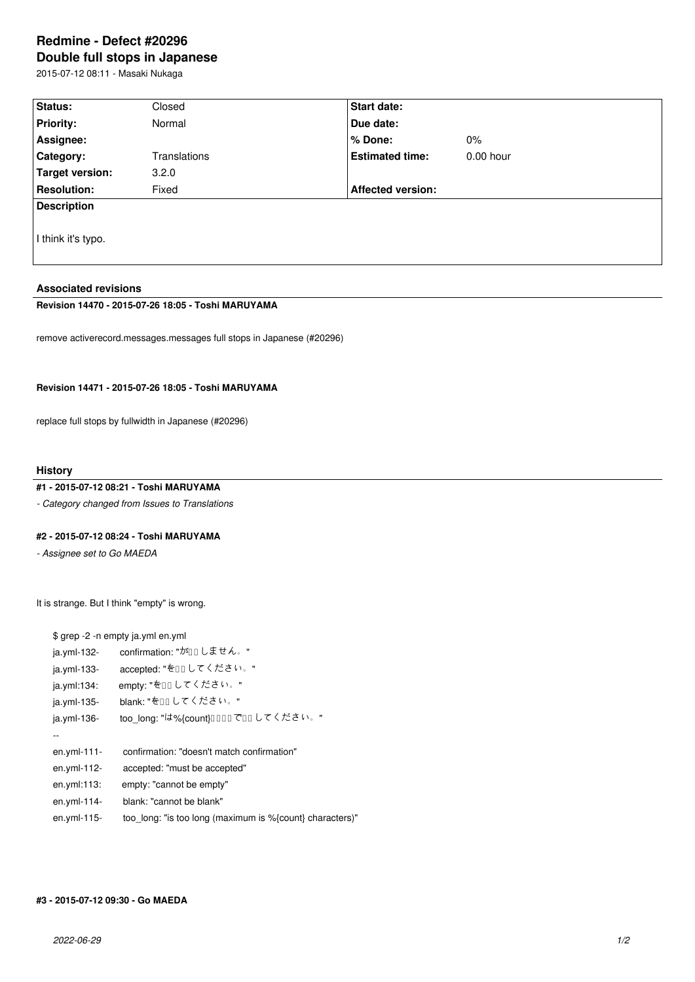# **Redmine - Defect #20296 Double full stops in Japanese**

2015-07-12 08:11 - Masaki Nukaga

| Status:            | Closed       | Start date:              |             |  |  |
|--------------------|--------------|--------------------------|-------------|--|--|
| <b>Priority:</b>   | Normal       | Due date:                |             |  |  |
| Assignee:          |              | % Done:                  | $0\%$       |  |  |
| Category:          | Translations | <b>Estimated time:</b>   | $0.00$ hour |  |  |
| Target version:    | 3.2.0        |                          |             |  |  |
| <b>Resolution:</b> | Fixed        | <b>Affected version:</b> |             |  |  |
| <b>Description</b> |              |                          |             |  |  |
| I think it's typo. |              |                          |             |  |  |

### **Associated revisions**

## **Revision 14470 - 2015-07-26 18:05 - Toshi MARUYAMA**

remove activerecord.messages.messages full stops in Japanese (#20296)

## **Revision 14471 - 2015-07-26 18:05 - Toshi MARUYAMA**

replace full stops by fullwidth in Japanese (#20296)

### **History**

## **#1 - 2015-07-12 08:21 - Toshi MARUYAMA**

*- Category changed from Issues to Translations*

### **#2 - 2015-07-12 08:24 - Toshi MARUYAMA**

*- Assignee set to Go MAEDA*

It is strange. But I think "empty" is wrong.

|               | \$ grep -2 -n empty ja.yml en.yml                        |
|---------------|----------------------------------------------------------|
| ja.yml-132-   | confirmation: "がロしません。"                                  |
| ja.yml-133-   | accepted: "をロロしてください。"                                   |
| ja.yml:134:   | empty: "を□□してください。"                                      |
| ja.yml-135-   | blank: "をロロしてください。"                                      |
| $ja.yml-136-$ | too_long: "は%{count}0000 で00 してください。"                    |
|               |                                                          |
| $en.yml-111-$ | confirmation: "doesn't match confirmation"               |
| en.yml-112-   | accepted: "must be accepted"                             |
| en.yml:113:   | empty: "cannot be empty"                                 |
| en.yml-114-   | blank: "cannot be blank"                                 |
| en.yml-115-   | too_long: "is too long (maximum is %{count} characters)" |
|               |                                                          |

## **#3 - 2015-07-12 09:30 - Go MAEDA**